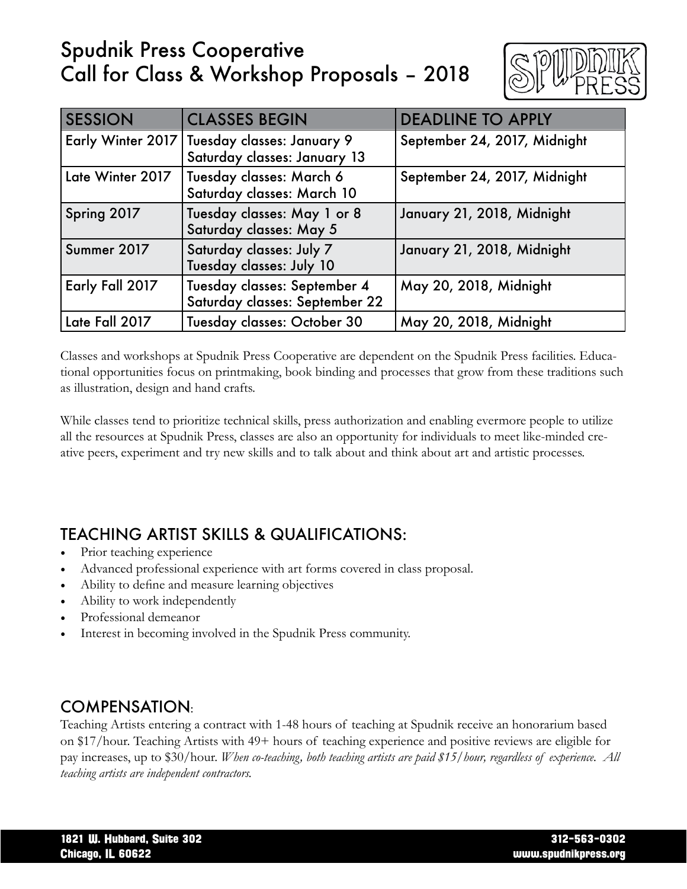# Spudnik Press Cooperative Call for Class & Workshop Proposals – 2018



| <b>SESSION</b>   | <b>CLASSES BEGIN</b>                                                         | <b>DEADLINE TO APPLY</b>     |
|------------------|------------------------------------------------------------------------------|------------------------------|
|                  | Early Winter 2017 Tuesday classes: January 9<br>Saturday classes: January 13 | September 24, 2017, Midnight |
| Late Winter 2017 | Tuesday classes: March 6<br>Saturday classes: March 10                       | September 24, 2017, Midnight |
| Spring 2017      | Tuesday classes: May 1 or 8<br>Saturday classes: May 5                       | January 21, 2018, Midnight   |
| Summer 2017      | Saturday classes: July 7<br>Tuesday classes: July 10                         | January 21, 2018, Midnight   |
| Early Fall 2017  | Tuesday classes: September 4<br>Saturday classes: September 22               | May 20, 2018, Midnight       |
| Late Fall 2017   | Tuesday classes: October 30                                                  | May 20, 2018, Midnight       |

Classes and workshops at Spudnik Press Cooperative are dependent on the Spudnik Press facilities. Educational opportunities focus on printmaking, book binding and processes that grow from these traditions such as illustration, design and hand crafts.

While classes tend to prioritize technical skills, press authorization and enabling evermore people to utilize all the resources at Spudnik Press, classes are also an opportunity for individuals to meet like-minded creative peers, experiment and try new skills and to talk about and think about art and artistic processes.

# TEACHING ARTIST SKILLS & QUALIFICATIONS:

- Prior teaching experience
- Advanced professional experience with art forms covered in class proposal.
- Ability to define and measure learning objectives
- Ability to work independently
- Professional demeanor
- Interest in becoming involved in the Spudnik Press community.

### COMPENSATION:

Teaching Artists entering a contract with 1-48 hours of teaching at Spudnik receive an honorarium based on \$17/hour. Teaching Artists with 49+ hours of teaching experience and positive reviews are eligible for pay increases, up to \$30/hour. *When co-teaching, both teaching artists are paid \$15/hour, regardless of experience. All teaching artists are independent contractors.*